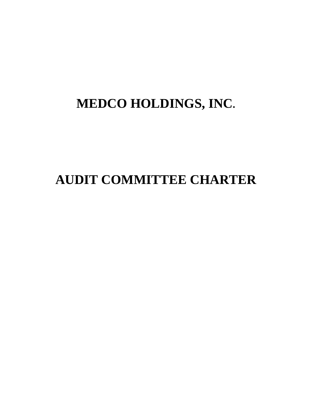# **MEDCO HOLDINGS, INC.**

# **AUDIT COMMITTEE CHARTER**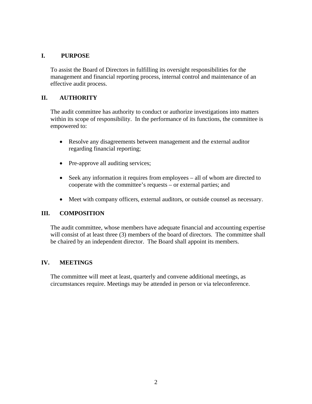#### **I. PURPOSE**

To assist the Board of Directors in fulfilling its oversight responsibilities for the management and financial reporting process, internal control and maintenance of an effective audit process.

# **II. AUTHORITY**

The audit committee has authority to conduct or authorize investigations into matters within its scope of responsibility. In the performance of its functions, the committee is empowered to:

- Resolve any disagreements between management and the external auditor regarding financial reporting;
- Pre-approve all auditing services;
- Seek any information it requires from employees all of whom are directed to cooperate with the committee's requests – or external parties; and
- Meet with company officers, external auditors, or outside counsel as necessary.

# **III. COMPOSITION**

The audit committee, whose members have adequate financial and accounting expertise will consist of at least three (3) members of the board of directors. The committee shall be chaired by an independent director. The Board shall appoint its members.

# **IV. MEETINGS**

The committee will meet at least, quarterly and convene additional meetings, as circumstances require. Meetings may be attended in person or via teleconference.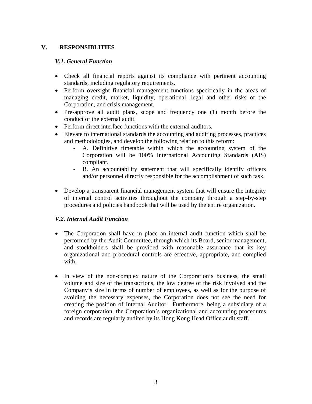#### **V. RESPONSIBLITIES**

#### *V.1. General Function*

- Check all financial reports against its compliance with pertinent accounting standards, including regulatory requirements.
- Perform oversight financial management functions specifically in the areas of managing credit, market, liquidity, operational, legal and other risks of the Corporation, and crisis management.
- Pre-approve all audit plans, scope and frequency one (1) month before the conduct of the external audit.
- Perform direct interface functions with the external auditors.
- Elevate to international standards the accounting and auditing processes, practices and methodologies, and develop the following relation to this reform:
	- A. Definitive timetable within which the accounting system of the Corporation will be 100% International Accounting Standards (AIS) compliant.
	- B. An accountability statement that will specifically identify officers and/or personnel directly responsible for the accomplishment of such task.
- Develop a transparent financial management system that will ensure the integrity of internal control activities throughout the company through a step-by-step procedures and policies handbook that will be used by the entire organization.

# *V.2. Internal Audit Function*

- The Corporation shall have in place an internal audit function which shall be performed by the Audit Committee, through which its Board, senior management, and stockholders shall be provided with reasonable assurance that its key organizational and procedural controls are effective, appropriate, and complied with.
- In view of the non-complex nature of the Corporation's business, the small volume and size of the transactions, the low degree of the risk involved and the Company's size in terms of number of employees, as well as for the purpose of avoiding the necessary expenses, the Corporation does not see the need for creating the position of Internal Auditor. Furthermore, being a subsidiary of a foreign corporation, the Corporation's organizational and accounting procedures and records are regularly audited by its Hong Kong Head Office audit staff..